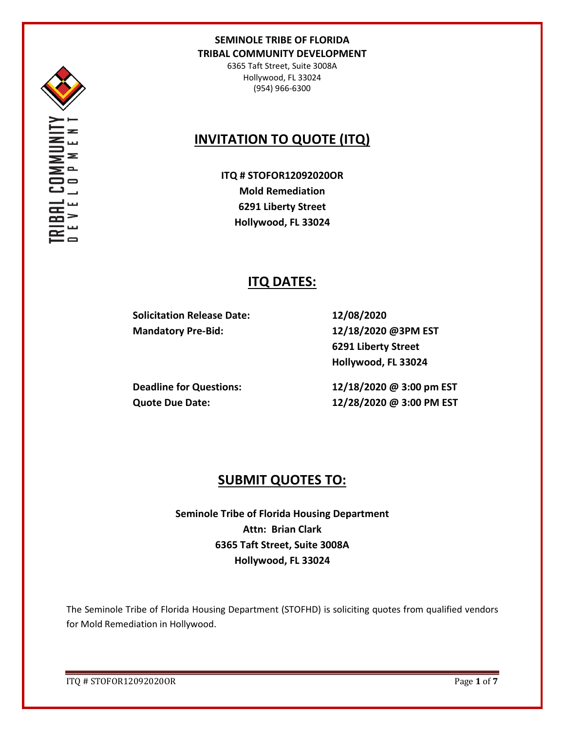

6365 Taft Street, Suite 3008A Hollywood, FL 33024 (954) 966-6300

# **INVITATION TO QUOTE (ITQ)**

**ITQ # STOFOR12092020OR Mold Remediation 6291 Liberty Street Hollywood, FL 33024**

# **ITQ DATES:**

**Solicitation Release Date: 12/08/2020 Mandatory Pre-Bid: 12/18/2020 @3PM EST**

**6291 Liberty Street Hollywood, FL 33024**

**Deadline for Questions: 12/18/2020 @ 3:00 pm EST Quote Due Date: 12/28/2020 @ 3:00 PM EST**

# **SUBMIT QUOTES TO:**

**Seminole Tribe of Florida Housing Department Attn: Brian Clark 6365 Taft Street, Suite 3008A Hollywood, FL 33024**

The Seminole Tribe of Florida Housing Department (STOFHD) is soliciting quotes from qualified vendors for Mold Remediation in Hollywood.

ITQ # STOFOR12092020OR Page **1** of **7**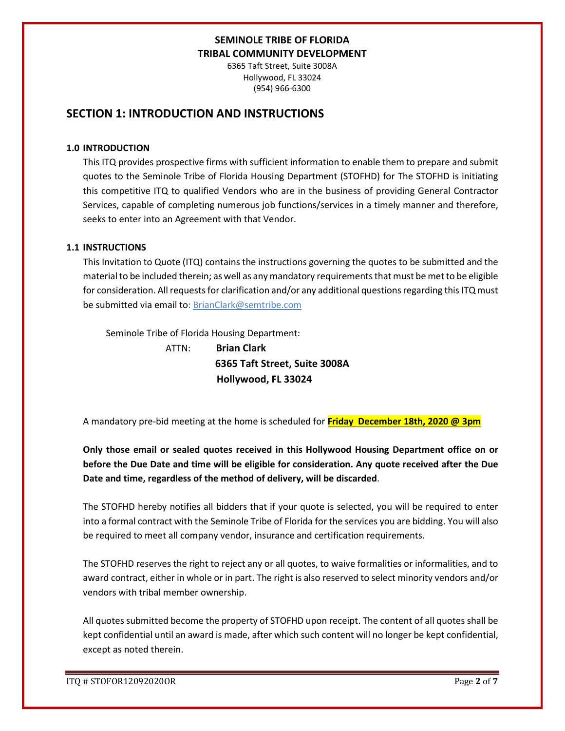6365 Taft Street, Suite 3008A Hollywood, FL 33024 (954) 966-6300

## **SECTION 1: INTRODUCTION AND INSTRUCTIONS**

#### **1.0 INTRODUCTION**

This ITQ provides prospective firms with sufficient information to enable them to prepare and submit quotes to the Seminole Tribe of Florida Housing Department (STOFHD) for The STOFHD is initiating this competitive ITQ to qualified Vendors who are in the business of providing General Contractor Services, capable of completing numerous job functions/services in a timely manner and therefore, seeks to enter into an Agreement with that Vendor.

### **1.1 INSTRUCTIONS**

This Invitation to Quote (ITQ) contains the instructions governing the quotes to be submitted and the material to be included therein; as well as any mandatory requirements that must be met to be eligible for consideration. All requests for clarification and/or any additional questions regarding this ITQ must be submitted via email to: BrianClark@semtribe.com

Seminole Tribe of Florida Housing Department:

 ATTN: **Brian Clark 6365 Taft Street, Suite 3008A Hollywood, FL 33024**

A mandatory pre-bid meeting at the home is scheduled for **Friday December 18th, 2020 @ 3pm**

**Only those email or sealed quotes received in this Hollywood Housing Department office on or before the Due Date and time will be eligible for consideration. Any quote received after the Due Date and time, regardless of the method of delivery, will be discarded**.

The STOFHD hereby notifies all bidders that if your quote is selected, you will be required to enter into a formal contract with the Seminole Tribe of Florida for the services you are bidding. You will also be required to meet all company vendor, insurance and certification requirements.

The STOFHD reserves the right to reject any or all quotes, to waive formalities or informalities, and to award contract, either in whole or in part. The right is also reserved to select minority vendors and/or vendors with tribal member ownership.

All quotes submitted become the property of STOFHD upon receipt. The content of all quotes shall be kept confidential until an award is made, after which such content will no longer be kept confidential, except as noted therein.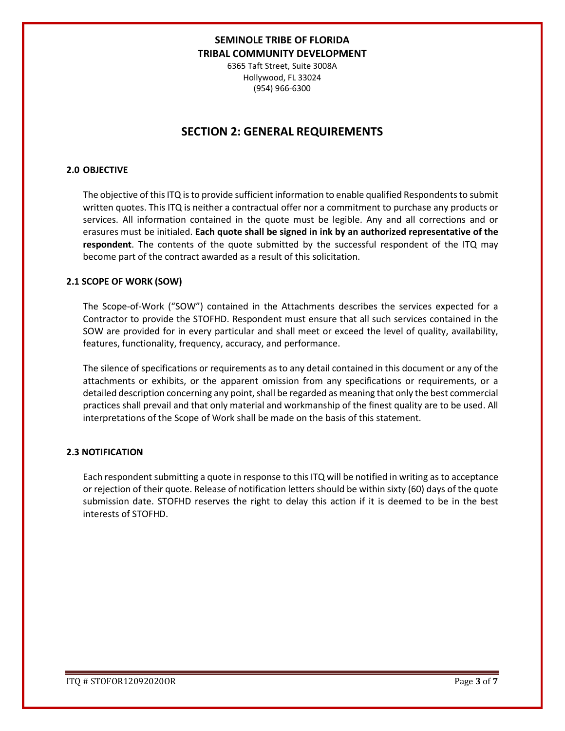6365 Taft Street, Suite 3008A Hollywood, FL 33024 (954) 966-6300

## **SECTION 2: GENERAL REQUIREMENTS**

#### **2.0 OBJECTIVE**

The objective of this ITQ is to provide sufficient information to enable qualified Respondents to submit written quotes. This ITQ is neither a contractual offer nor a commitment to purchase any products or services. All information contained in the quote must be legible. Any and all corrections and or erasures must be initialed. **Each quote shall be signed in ink by an authorized representative of the respondent**. The contents of the quote submitted by the successful respondent of the ITQ may become part of the contract awarded as a result of this solicitation.

#### **2.1 SCOPE OF WORK (SOW)**

The Scope-of-Work ("SOW") contained in the Attachments describes the services expected for a Contractor to provide the STOFHD. Respondent must ensure that all such services contained in the SOW are provided for in every particular and shall meet or exceed the level of quality, availability, features, functionality, frequency, accuracy, and performance.

The silence of specifications or requirements as to any detail contained in this document or any of the attachments or exhibits, or the apparent omission from any specifications or requirements, or a detailed description concerning any point, shall be regarded as meaning that only the best commercial practices shall prevail and that only material and workmanship of the finest quality are to be used. All interpretations of the Scope of Work shall be made on the basis of this statement.

#### **2.3 NOTIFICATION**

Each respondent submitting a quote in response to this ITQ will be notified in writing as to acceptance or rejection of their quote. Release of notification letters should be within sixty (60) days of the quote submission date. STOFHD reserves the right to delay this action if it is deemed to be in the best interests of STOFHD.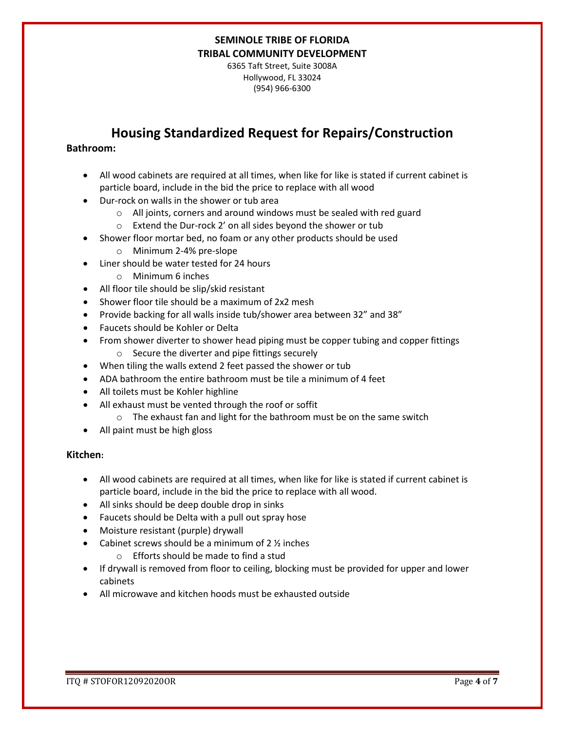6365 Taft Street, Suite 3008A Hollywood, FL 33024 (954) 966-6300

# **Housing Standardized Request for Repairs/Construction**

### **Bathroom:**

- All wood cabinets are required at all times, when like for like is stated if current cabinet is particle board, include in the bid the price to replace with all wood
- Dur-rock on walls in the shower or tub area
	- o All joints, corners and around windows must be sealed with red guard
	- o Extend the Dur-rock 2' on all sides beyond the shower or tub
- Shower floor mortar bed, no foam or any other products should be used
	- o Minimum 2-4% pre-slope
- Liner should be water tested for 24 hours
	- o Minimum 6 inches
- All floor tile should be slip/skid resistant
- Shower floor tile should be a maximum of 2x2 mesh
- Provide backing for all walls inside tub/shower area between 32" and 38"
- Faucets should be Kohler or Delta
- From shower diverter to shower head piping must be copper tubing and copper fittings
	- o Secure the diverter and pipe fittings securely
- When tiling the walls extend 2 feet passed the shower or tub
- ADA bathroom the entire bathroom must be tile a minimum of 4 feet
- All toilets must be Kohler highline
- All exhaust must be vented through the roof or soffit
	- o The exhaust fan and light for the bathroom must be on the same switch
- All paint must be high gloss

#### **Kitchen:**

- All wood cabinets are required at all times, when like for like is stated if current cabinet is particle board, include in the bid the price to replace with all wood.
- All sinks should be deep double drop in sinks
- Faucets should be Delta with a pull out spray hose
- Moisture resistant (purple) drywall
- Cabinet screws should be a minimum of  $2 \frac{1}{2}$  inches
	- o Efforts should be made to find a stud
- If drywall is removed from floor to ceiling, blocking must be provided for upper and lower cabinets
- All microwave and kitchen hoods must be exhausted outside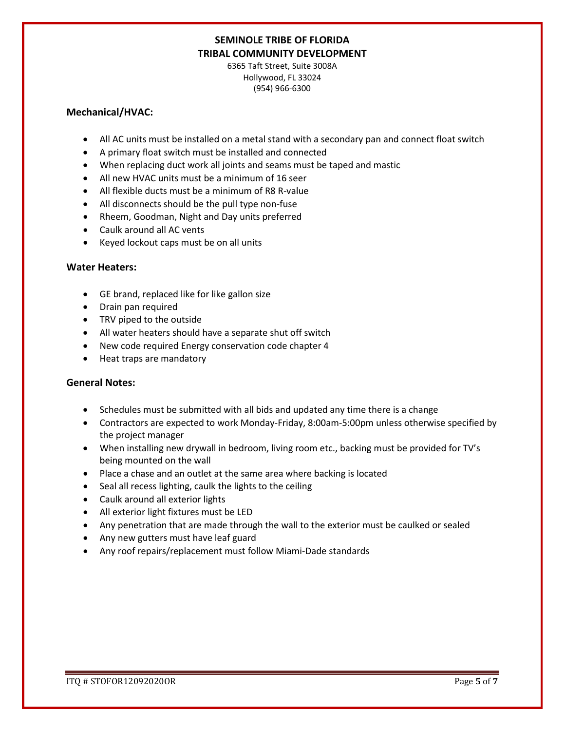6365 Taft Street, Suite 3008A Hollywood, FL 33024 (954) 966-6300

#### **Mechanical/HVAC:**

- All AC units must be installed on a metal stand with a secondary pan and connect float switch
- A primary float switch must be installed and connected
- When replacing duct work all joints and seams must be taped and mastic
- All new HVAC units must be a minimum of 16 seer
- All flexible ducts must be a minimum of R8 R-value
- All disconnects should be the pull type non-fuse
- Rheem, Goodman, Night and Day units preferred
- Caulk around all AC vents
- Keyed lockout caps must be on all units

### **Water Heaters:**

- GE brand, replaced like for like gallon size
- Drain pan required
- TRV piped to the outside
- All water heaters should have a separate shut off switch
- New code required Energy conservation code chapter 4
- Heat traps are mandatory

### **General Notes:**

- Schedules must be submitted with all bids and updated any time there is a change
- Contractors are expected to work Monday-Friday, 8:00am-5:00pm unless otherwise specified by the project manager
- When installing new drywall in bedroom, living room etc., backing must be provided for TV's being mounted on the wall
- Place a chase and an outlet at the same area where backing is located
- Seal all recess lighting, caulk the lights to the ceiling
- Caulk around all exterior lights
- All exterior light fixtures must be LED
- Any penetration that are made through the wall to the exterior must be caulked or sealed
- Any new gutters must have leaf guard
- Any roof repairs/replacement must follow Miami-Dade standards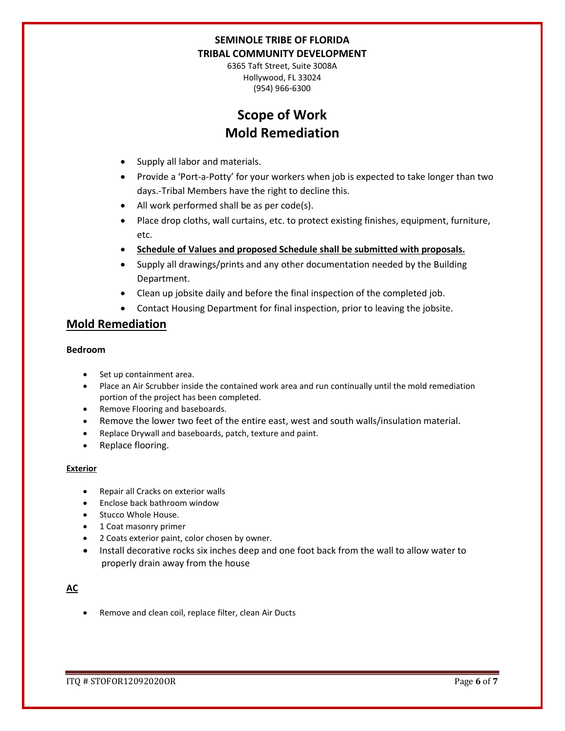6365 Taft Street, Suite 3008A Hollywood, FL 33024 (954) 966-6300

# **Scope of Work Mold Remediation**

- Supply all labor and materials.
- Provide a 'Port-a-Potty' for your workers when job is expected to take longer than two days.-Tribal Members have the right to decline this.
- All work performed shall be as per code(s).
- Place drop cloths, wall curtains, etc. to protect existing finishes, equipment, furniture, etc.
- **Schedule of Values and proposed Schedule shall be submitted with proposals.**
- Supply all drawings/prints and any other documentation needed by the Building Department.
- Clean up jobsite daily and before the final inspection of the completed job.
- Contact Housing Department for final inspection, prior to leaving the jobsite.

## **Mold Remediation**

### **Bedroom**

- Set up containment area.
- Place an Air Scrubber inside the contained work area and run continually until the mold remediation portion of the project has been completed.
- Remove Flooring and baseboards.
- Remove the lower two feet of the entire east, west and south walls/insulation material.
- Replace Drywall and baseboards, patch, texture and paint.
- Replace flooring.

#### **Exterior**

- Repair all Cracks on exterior walls
- Enclose back bathroom window
- Stucco Whole House.
- 1 Coat masonry primer
- 2 Coats exterior paint, color chosen by owner.
- Install decorative rocks six inches deep and one foot back from the wall to allow water to properly drain away from the house

### **AC**

• Remove and clean coil, replace filter, clean Air Ducts